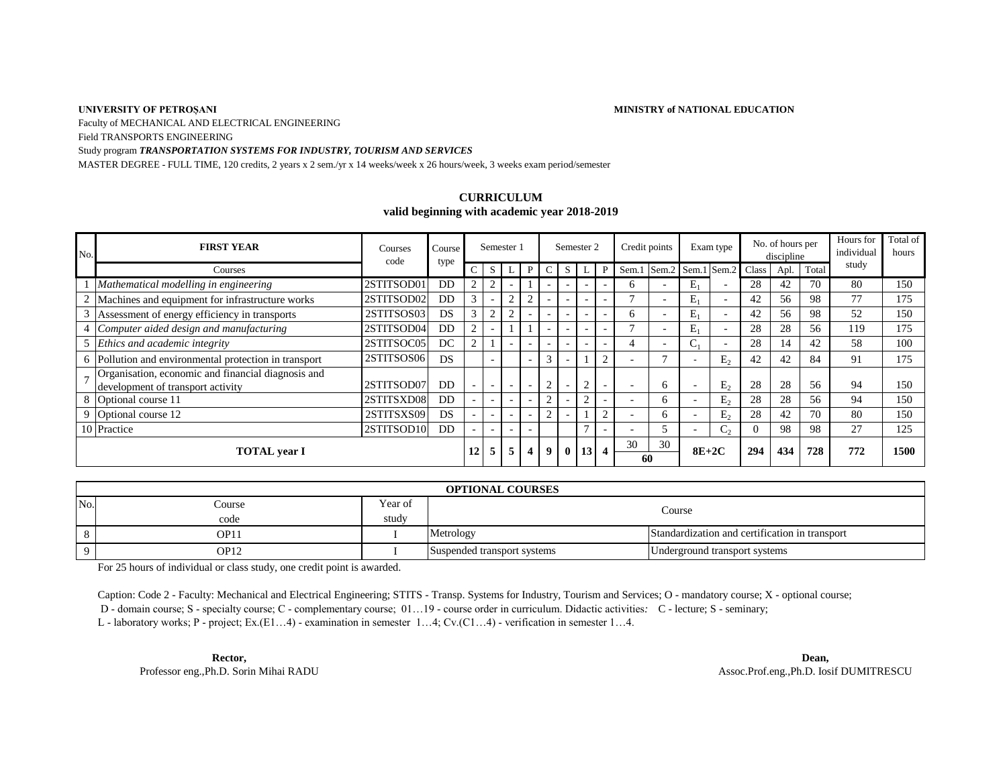### **UNIVERSITY OF PETROȘANI**

**MINISTRY of NATIONAL EDUCATION**

Faculty of MECHANICAL AND ELECTRICAL ENGINEERING

Field TRANSPORTS ENGINEERING

### Study program *TRANSPORTATION SYSTEMS FOR INDUSTRY, TOURISM AND SERVICES*

MASTER DEGREE - FULL TIME, 120 credits, 2 years x 2 sem./yr x 14 weeks/week x 26 hours/week, 3 weeks exam period/semester

## **CURRICULUM valid beginning with academic year 2018-2019**

| No. | <b>FIRST YEAR</b>                                                                       | Courses<br>code | Course<br>type | Semester 1   |                          |                          |                          | Semester 2 |                          |                          |        | Credit points            |       | Exam type                |                          | No. of hours per<br>discipline |      |       | Hours for<br>individual | Total of<br>hours |
|-----|-----------------------------------------------------------------------------------------|-----------------|----------------|--------------|--------------------------|--------------------------|--------------------------|------------|--------------------------|--------------------------|--------|--------------------------|-------|--------------------------|--------------------------|--------------------------------|------|-------|-------------------------|-------------------|
|     | Courses                                                                                 |                 |                | C.           | S                        |                          | P                        |            | S                        |                          |        | Sem.1                    | Sem.2 | Sem.1                    | Sem.2                    | Class                          | Apl. | Total | study                   |                   |
|     | Mathematical modelling in engineering                                                   | 2STITSOD01      | DD             | 2            | $\sim$                   |                          |                          |            |                          | $\overline{\phantom{0}}$ |        | n                        |       | $E_1$                    |                          | 28                             | 42   | 70    | 80                      | 150               |
|     | Machines and equipment for infrastructure works                                         | 2STITSOD02      | DD             | 3            |                          | $\overline{c}$           | ∸                        |            | $\overline{\phantom{0}}$ | $\overline{\phantom{0}}$ |        |                          |       | $E_1$                    | $\overline{\phantom{0}}$ | 42                             | 56   | 98    | 77                      | 175               |
| 3   | Assessment of energy efficiency in transports                                           | 2STITSOS03      | <b>DS</b>      | $\mathbf{3}$ | 2                        | $\overline{2}$           |                          |            | $\sim$                   | ٠                        |        | 6                        |       | $E_1$                    | $\overline{\phantom{0}}$ | 42                             | 56   | 98    | 52                      | 150               |
|     | Computer aided design and manufacturing                                                 | 2STITSOD04      | D <sub>D</sub> | 2            |                          |                          |                          |            | $\sim$                   | $\overline{\phantom{0}}$ |        |                          |       | $E_1$                    | $\overline{\phantom{0}}$ | 28                             | 28   | 56    | 119                     | 175               |
|     | Ethics and academic integrity                                                           | 2STITSOC05      | DC.            | っ            |                          | $\overline{\phantom{a}}$ | $\overline{\phantom{0}}$ |            | $\overline{\phantom{0}}$ | $\overline{\phantom{a}}$ |        |                          |       |                          | $\overline{\phantom{0}}$ | 28                             | 14   | 42    | 58                      | 100               |
|     | 6 Pollution and environmental protection in transport                                   | 2STITSOS06      | <b>DS</b>      |              | $\overline{\phantom{a}}$ |                          | $\overline{\phantom{a}}$ |            | $\sim$                   |                          | $\sim$ | $\overline{\phantom{0}}$ |       | $\overline{\phantom{a}}$ | $E_{2}$                  | 42                             | 42   | 84    | 91                      | 175               |
|     | Organisation, economic and financial diagnosis and<br>development of transport activity | 2STITSOD07      | <b>DD</b>      |              | $\overline{\phantom{0}}$ | $\sim$                   | $\overline{\phantom{0}}$ |            | $\sim$                   | $\sim$                   |        | $\overline{\phantom{0}}$ | 6     | $\overline{\phantom{a}}$ | E <sub>2</sub>           | 28                             | 28   | 56    | 94                      | 150               |
|     | 8 Optional course 11                                                                    | 2STITSXD08      | D <sub>D</sub> |              | $\overline{\phantom{0}}$ | $\sim$                   |                          |            |                          |                          |        |                          | 6     | $\overline{\phantom{a}}$ | $E_{2}$                  | 28                             | 28   | 56    | 94                      | 150               |
|     | 9 Optional course 12                                                                    | 2STITSXS09      | DS.            |              | $\overline{\phantom{0}}$ | $\sim$                   |                          |            |                          |                          | $\sim$ |                          | 6.    |                          | $E_{2}$                  | 28                             | 42   | 70    | 80                      | 150               |
|     | 10 Practice                                                                             | 2STITSOD10      | D <sub>D</sub> |              |                          | $\sim$                   |                          |            |                          |                          |        |                          | 7     |                          | $C_{2}$                  |                                | 98   | 98    | 27                      | 125               |
|     | <b>TOTAL</b> year I                                                                     |                 |                |              | 5                        | 5                        | 4                        | 9          | $\mathbf{0}$             | 13 <sup>1</sup>          | 4      | 30<br>60                 | 30    | $8E+2C$                  |                          | 294                            | 434  | 728   | 772                     | 1500              |

|     | <b>OPTIONAL COURSES</b> |         |                             |                                                |  |  |  |  |  |  |  |  |
|-----|-------------------------|---------|-----------------------------|------------------------------------------------|--|--|--|--|--|--|--|--|
| No. | Course                  | Year of |                             | Course                                         |  |  |  |  |  |  |  |  |
|     | code                    | study   |                             |                                                |  |  |  |  |  |  |  |  |
|     | OP11                    |         | Metrology                   | Standardization and certification in transport |  |  |  |  |  |  |  |  |
|     | OP12                    |         | Suspended transport systems | Underground transport systems                  |  |  |  |  |  |  |  |  |

For 25 hours of individual or class study, one credit point is awarded.

Caption: Code 2 - Faculty: Mechanical and Electrical Engineering; STITS - Transp. Systems for Industry, Tourism and Services; O - mandatory course; X - optional course; D - domain course; S - specialty course; C - complementary course; 01…19 - course order in curriculum. Didactic activities*:* C - lecture; S - seminary;

L - laboratory works; P - project; Ex.(E1…4) - examination in semester 1…4; Cv.(C1…4) - verification in semester 1…4.

**Rector, Dean,**

Professor eng.,Ph.D. Sorin Mihai RADU Assoc.Prof.eng.,Ph.D. Iosif DUMITRESCU Assoc.Prof.eng.,Ph.D. Iosif DUMITRESCU